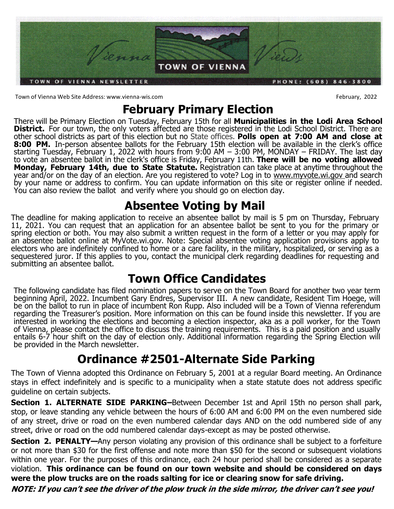

Town of Vienna Web Site Address: www.vienna-wis.com February, 2022

# **February Primary Election**

There will be Primary Election on Tuesday, February 15th for all **Municipalities in the Lodi Area School District.** For our town, the only voters affected are those registered in the Lodi School District. There are other school districts as part of this election but no State offices. **Polls open at 7:00 AM and close at 8:00 PM.** In-person absentee ballots for the February 15th election will be available in the clerk's office starting Tuesday, February 1, 2022 with hours from 9:00 AM – 3:00 PM, MONDAY – FRIDAY. The last day to vote an absentee ballot in the clerk's office is Friday, February 11th. **There will be no voting allowed Monday, February 14th, due to State Statute.** Registration can take place at anytime throughout the year and/or on the day of an election. Are you registered to vote? Log in to www.myvote.wi.gov and search by your name or address to confirm. You can update information on this site or register online if needed. You can also review the ballot and verify where you should go on election day.

## **Absentee Voting by Mail**

The deadline for making application to receive an absentee ballot by mail is 5 pm on Thursday, February 11, 2021. You can request that an application for an absentee ballot be sent to you for the primary or spring election or both. You may also submit a written request in the form of a letter or you may apply for an absentee ballot online at MyVote.wi.gov. Note: Special absentee voting application provisions apply to electors who are indefinitely confined to home or a care facility, in the military, hospitalized, or serving as a sequestered juror. If this applies to you, contact the municipal clerk regarding deadlines for requesting and submitting an absentee ballot.

## **Town Office Candidates**

The following candidate has filed nomination papers to serve on the Town Board for another two year term beginning April, 2022. Incumbent Gary Endres, Supervisor III. A new candidate, Resident Tim Hoege, will be on the ballot to run in place of incumbent Ron Rupp. Also included will be a Town of Vienna referendum regarding the Treasurer's position. More information on this can be found inside this newsletter. If you are interested in working the elections and becoming a election inspector, aka as a poll worker, for the Town of Vienna, please contact the office to discuss the training requirements. This is a paid position and usually entails 6-7 hour shift on the day of election only. Additional information regarding the Spring Election will be provided in the March newsletter.

# **Ordinance #2501-Alternate Side Parking**

The Town of Vienna adopted this Ordinance on February 5, 2001 at a regular Board meeting. An Ordinance stays in effect indefinitely and is specific to a municipality when a state statute does not address specific guideline on certain subjects.

**Section 1. ALTERNATE SIDE PARKING–Between December 1st and April 15th no person shall park,** stop, or leave standing any vehicle between the hours of 6:00 AM and 6:00 PM on the even numbered side of any street, drive or road on the even numbered calendar days AND on the odd numbered side of any street, drive or road on the odd numbered calendar days-except as may be posted otherwise.

**Section 2. PENALTY—Any person violating any provision of this ordinance shall be subject to a forfeiture** or not more than \$30 for the first offense and note more than \$50 for the second or subsequent violations within one year. For the purposes of this ordinance, each 24 hour period shall be considered as a separate violation. **This ordinance can be found on our town website and should be considered on days were the plow trucks are on the roads salting for ice or clearing snow for safe driving.** 

**NOTE: If you can't see the driver of the plow truck in the side mirror, the driver can't see you!**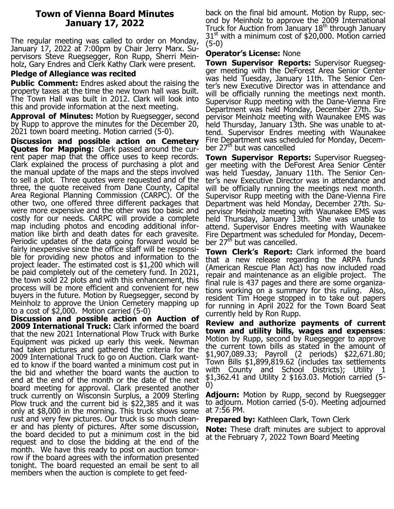### **Town of Vienna Board Minutes January 17, 2022**

The regular meeting was called to order on Monday, January 17, 2022 at 7:00pm by Chair Jerry Marx. Supervisors Steve Ruegsegger, Ron Rupp, Sherri Meinholz, Gary Endres and Clerk Kathy Clark were present.

### **Pledge of Allegiance was recited**

**Public Comment:** Endres asked about the raising the property taxes at the time the new town hall was built. The Town Hall was built in 2012. Clark will look into this and provide information at the next meeting.

**Approval of Minutes:** Motion by Ruegsegger, second by Rupp to approve the minutes for the December 20, 2021 town board meeting. Motion carried (5-0).

**Discussion and possible action on Cemetery Quotes for Mapping:** Clark passed around the current paper map that the office uses to keep records. Clark explained the process of purchasing a plot and the manual update of the maps and the steps involved to sell a plot. Three quotes were requested and of the three, the quote received from Dane County, Capital Area Regional Planning Commission (CARPC). Of the other two, one offered three different packages that were more expensive and the other was too basic and costly for our needs. CARPC will provide a complete map including photos and encoding additional information like birth and death dates for each gravesite. Periodic updates of the data going forward would be fairly inexpensive since the office staff will be responsible for providing new photos and information to the project leader. The estimated cost is \$1,200 which will be paid completely out of the cemetery fund. In 2021, the town sold 22 plots and with this enhancement, this process will be more efficient and convenient for new buyers in the future. Motion by Ruegsegger, second by Meinholz to approve the Union Cemetery mapping up to a cost of \$2,000. Motion carried (5-0)

**Discussion and possible action on Auction of 2009 International Truck:** Clark informed the board that the new 2021 International Plow Truck with Burke Equipment was picked up early this week. Newman had taken pictures and gathered the criteria for the 2009 International Truck to go on Auction. Clark wanted to know if the board wanted a minimum cost put in the bid and whether the board wants the auction to end at the end of the month or the date of the next board meeting for approval. Clark presented another truck currently on Wisconsin Surplus, a 2009 Sterling Plow truck and the current bid is \$22,385 and it was only at \$8,000 in the morning. This truck shows some rust and very few pictures. Our truck is so much cleaner and has plenty of pictures. After some discussion, the board decided to put a minimum cost in the bid request and to close the bidding at the end of the month. We have this ready to post on auction tomorrow if the board agrees with the information presented tonight. The board requested an email be sent to all members when the auction is complete to get feed-

back on the final bid amount. Motion by Rupp, second by Meinholz to approve the 2009 International Truck for Auction from January  $18<sup>th</sup>$  through January  $31<sup>st</sup>$  with a minimum cost of \$20,000. Motion carried (5-0)

#### **Operator's License:** None

**Town Supervisor Reports:** Supervisor Ruegsegger meeting with the DeForest Area Senior Center was held Tuesday, January 11th. The Senior Center's new Executive Director was in attendance and will be officially running the meetings next month. Supervisor Rupp meeting with the Dane-Vienna Fire Department was held Monday, December 27th. Supervisor Meinholz meeting with Waunakee EMS was held Thursday, January 13th. She was unable to attend. Supervisor Endres meeting with Waunakee Fire Department was scheduled for Monday, December 27th but was cancelled

**Town Supervisor Reports:** Supervisor Ruegsegger meeting with the DeForest Area Senior Center was held Tuesday, January 11th. The Senior Center's new Executive Director was in attendance and will be officially running the meetings next month. Supervisor Rupp meeting with the Dane-Vienna Fire Department was held Monday, December 27th. Supervisor Meinholz meeting with Waunakee EMS was held Thursday, January 13th. She was unable to attend. Supervisor Endres meeting with Waunakee Fire Department was scheduled for Monday, December  $27<sup>th</sup>$  but was cancelled.

**Town Clerk's Report:** Clark informed the board that a new release regarding the ARPA funds (American Rescue Plan Act) has now included road repair and maintenance as an eligible project. The final rule is 437 pages and there are some organizations working on a summary for this ruling. Also, resident Tim Hoege stopped in to take out papers for running in April 2022 for the Town Board Seat currently held by Ron Rupp.

**Review and authorize payments of current town and utility bills, wages and expenses**: Motion by Rupp, second by Ruegsegger to approve the current town bills as stated in the amount of \$1,907,089.33; Payroll (2 periods) \$22,671.80; Town Bills \$1,899,819.62 (includes tax settlements with County and School Districts); Utility 1 \$1,362.41 and Utility 2 \$163.03. Motion carried (5- 0)

**Adjourn:** Motion by Rupp, second by Ruegsegger to adjourn. Motion carried (5-0). Meeting adjourned at 7:56 PM.

**Prepared by:** Kathleen Clark, Town Clerk

**Note:** These draft minutes are subject to approval at the February 7, 2022 Town Board Meeting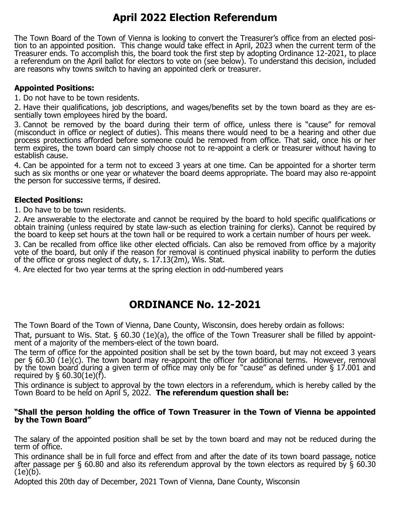## **April 2022 Election Referendum**

The Town Board of the Town of Vienna is looking to convert the Treasurer's office from an elected position to an appointed position. This change would take effect in April, 2023 when the current term of the Treasurer ends. To accomplish this, the board took the first step by adopting Ordinance 12-2021, to place a referendum on the April ballot for electors to vote on (see below). To understand this decision, included are reasons why towns switch to having an appointed clerk or treasurer.

### **Appointed Positions:**

1. Do not have to be town residents.

2. Have their qualifications, job descriptions, and wages/benefits set by the town board as they are essentially town employees hired by the board.

3. Cannot be removed by the board during their term of office, unless there is "cause" for removal (misconduct in office or neglect of duties). This means there would need to be a hearing and other due process protections afforded before someone could be removed from office. That said, once his or her term expires, the town board can simply choose not to re-appoint a clerk or treasurer without having to establish cause.

4. Can be appointed for a term not to exceed 3 years at one time. Can be appointed for a shorter term such as six months or one year or whatever the board deems appropriate. The board may also re-appoint the person for successive terms, if desired.

### **Elected Positions:**

1. Do have to be town residents.

2. Are answerable to the electorate and cannot be required by the board to hold specific qualifications or obtain training (unless required by state law-such as election training for clerks). Cannot be required by the board to keep set hours at the town hall or be required to work a certain number of hours per week.

3. Can be recalled from office like other elected officials. Can also be removed from office by a majority vote of the board, but only if the reason for removal is continued physical inability to perform the duties of the office or gross neglect of duty, s. 17.13(2m), Wis. Stat.

4. Are elected for two year terms at the spring election in odd-numbered years

### **ORDINANCE No. 12-2021**

The Town Board of the Town of Vienna, Dane County, Wisconsin, does hereby ordain as follows:

That, pursuant to Wis. Stat. § 60.30 (1e)(a), the office of the Town Treasurer shall be filled by appointment of a majority of the members-elect of the town board.

The term of office for the appointed position shall be set by the town board, but may not exceed 3 years per § 60.30 (1e)(c). The town board may re-appoint the officer for additional terms. However, removal by the town board during a given term of office may only be for "cause" as defined under § 17.001 and required by  $\S$  60.30(1e)(f).

This ordinance is subject to approval by the town electors in a referendum, which is hereby called by the Town Board to be held on April 5, 2022. **The referendum question shall be:**

### **"Shall the person holding the office of Town Treasurer in the Town of Vienna be appointed by the Town Board"**

The salary of the appointed position shall be set by the town board and may not be reduced during the term of office.

This ordinance shall be in full force and effect from and after the date of its town board passage, notice after passage per § 60.80 and also its referendum approval by the town electors as required by § 60.30 (1e)(b).

Adopted this 20th day of December, 2021 Town of Vienna, Dane County, Wisconsin